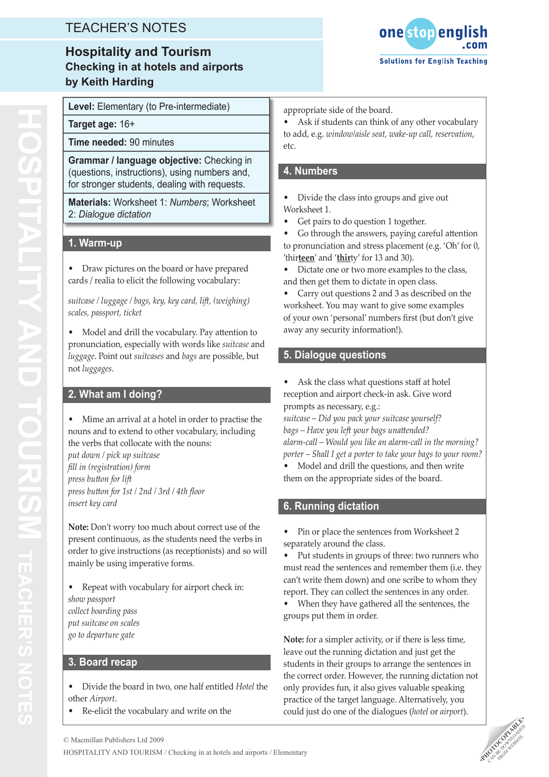## TEACHER'S NOTES

### **Hospitality and Tourism Checking in at hotels and airports by Keith Harding**



**Target age:** 16+

**Time needed:** 90 minutes

**Grammar / language objective:** Checking in (questions, instructions), using numbers and, for stronger students, dealing with requests.

**Materials:** Worksheet 1: *Numbers*; Worksheet 2: *Dialogue dictation*

### **1. Warm-up**

Draw pictures on the board or have prepared cards / realia to elicit the following vocabulary:

*suitcase / luggage / bags, key, key card, lift, (weighing) scales, passport, ticket*

• Model and drill the vocabulary. Pay attention to pronunciation, especially with words like *suitcase* and *luggage*. Point out *suitcases* and *bags* are possible, but not *luggages*.

#### **2. What am I doing?**

Mime an arrival at a hotel in order to practise the nouns and to extend to other vocabulary, including the verbs that collocate with the nouns:

*put down / pick up suitcase fill in (registration) form press button for lift press button for 1st / 2nd / 3rd / 4th floor insert key card*

**Note:** Don't worry too much about correct use of the present continuous, as the students need the verbs in order to give instructions (as receptionists) and so will mainly be using imperative forms.

Repeat with vocabulary for airport check in: *show passport collect boarding pass put suitcase on scales go to departure gate*

#### **3. Board recap**

- Divide the board in two, one half entitled *Hotel* the other *Airport*.
- • Re-elicit the vocabulary and write on the

appropriate side of the board.

Ask if students can think of any other vocabulary to add, e.g. *window/aisle seat, wake-up call, reservation*, etc.

#### **4. Numbers**

- Divide the class into groups and give out Worksheet 1.
- Get pairs to do question 1 together.
- Go through the answers, paying careful attention to pronunciation and stress placement (e.g. 'Oh' for 0, 'thir**teen**' and '**thir**ty' for 13 and 30).
- • Dictate one or two more examples to the class, and then get them to dictate in open class.

Carry out questions 2 and 3 as described on the worksheet. You may want to give some examples of your own 'personal' numbers first (but don't give away any security information!).

### **5. Dialogue questions**

Ask the class what questions staff at hotel reception and airport check-in ask. Give word prompts as necessary, e.g.:

*suitcase – Did you pack your suitcase yourself? bags – Have you left your bags unattended? alarm-call – Would you like an alarm-call in the morning? porter – Shall I get a porter to take your bags to your room?*

Model and drill the questions, and then write them on the appropriate sides of the board.

### **6. Running dictation**

Pin or place the sentences from Worksheet 2 separately around the class.

• Put students in groups of three: two runners who must read the sentences and remember them (i.e. they can't write them down) and one scribe to whom they report. They can collect the sentences in any order.

When they have gathered all the sentences, the groups put them in order.

**Note:** for a simpler activity, or if there is less time, leave out the running dictation and just get the students in their groups to arrange the sentences in the correct order. However, the running dictation not only provides fun, it also gives valuable speaking practice of the target language. Alternatively, you could just do one of the dialogues (*hotel* or *airport*).

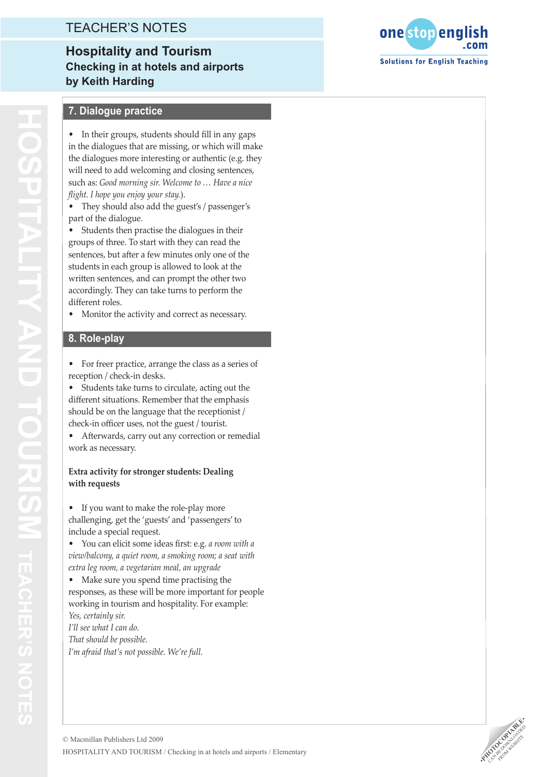### TEACHER'S NOTES

## **Hospitality and Tourism Checking in at hotels and airports by Keith Harding**



#### **7. Dialogue practice**

In their groups, students should fill in any gaps in the dialogues that are missing, or which will make the dialogues more interesting or authentic (e.g. they will need to add welcoming and closing sentences, such as: *Good morning sir. Welcome to … Have a nice flight. I hope you enjoy your stay.*).

• They should also add the guest's / passenger's part of the dialogue.

Students then practise the dialogues in their groups of three. To start with they can read the sentences, but after a few minutes only one of the students in each group is allowed to look at the written sentences, and can prompt the other two accordingly. They can take turns to perform the different roles.

• Monitor the activity and correct as necessary.

### **8. Role-play**

• For freer practice, arrange the class as a series of reception / check-in desks.

Students take turns to circulate, acting out the different situations. Remember that the emphasis should be on the language that the receptionist / check-in officer uses, not the guest / tourist.

Afterwards, carry out any correction or remedial work as necessary.

#### **Extra activity for stronger students: Dealing with requests**

If you want to make the role-play more challenging, get the 'guests' and 'passengers' to include a special request.

You can elicit some ideas first: e.g. *a room with a view/balcony, a quiet room, a smoking room; a seat with extra leg room, a vegetarian meal, an upgrade*

Make sure you spend time practising the responses, as these will be more important for people working in tourism and hospitality. For example: *Yes, certainly sir. I'll see what I can do.*

*That should be possible. I'm afraid that's not possible. We're full.*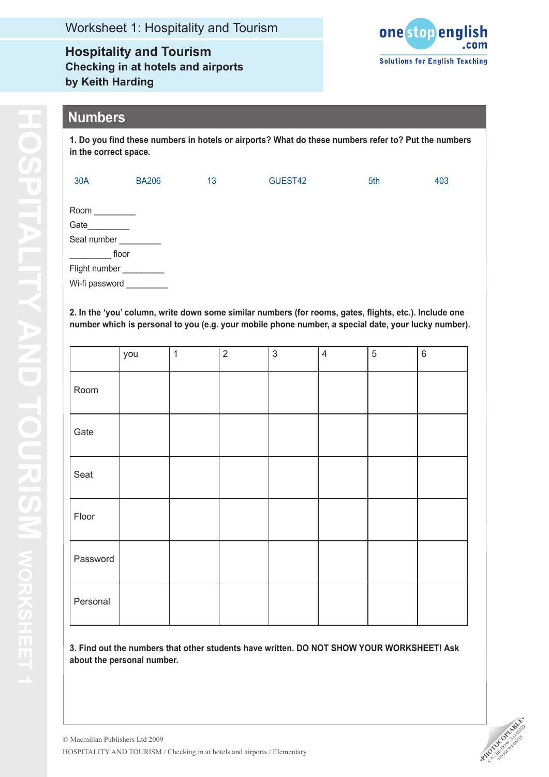**Hospitality and Tourism Checking in at hotels and airports by Keith Harding**



### **Numbers**

**1. Do you find these numbers in hotels or airports? What do these numbers refer to? Put the numbers in the correct space.**

| 30A                                                                     | <b>BA206</b> | 13 | GUEST42 | 5th | 403 |
|-------------------------------------------------------------------------|--------------|----|---------|-----|-----|
| Room<br>Gate<br>Seat number<br>floor<br>Flight number<br>Wi-fi password |              |    |         |     |     |

**2. In the 'you' column, write down some similar numbers (for rooms, gates, flights, etc.). Include one number which is personal to you (e.g. your mobile phone number, a special date, your lucky number).**

|          | you | $\mathbf{1}$ | $\overline{2}$ | $\mathfrak{S}$ | $\overline{4}$ | 5 | $\,6\,$ |
|----------|-----|--------------|----------------|----------------|----------------|---|---------|
| Room     |     |              |                |                |                |   |         |
| Gate     |     |              |                |                |                |   |         |
| Seat     |     |              |                |                |                |   |         |
| Floor    |     |              |                |                |                |   |         |
| Password |     |              |                |                |                |   |         |
| Personal |     |              |                |                |                |   |         |

**3. Find out the numbers that other students have written. DO NOT SHOW YOUR WORKSHEET! Ask about the personal number.**